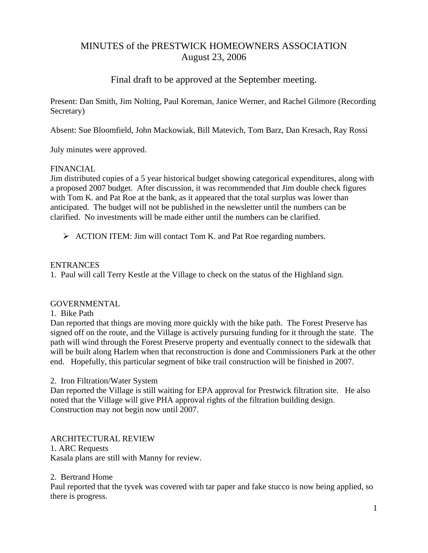# MINUTES of the PRESTWICK HOMEOWNERS ASSOCIATION August 23, 2006

# Final draft to be approved at the September meeting.

Present: Dan Smith, Jim Nolting, Paul Koreman, Janice Werner, and Rachel Gilmore (Recording Secretary)

Absent: Sue Bloomfield, John Mackowiak, Bill Matevich, Tom Barz, Dan Kresach, Ray Rossi

July minutes were approved.

## FINANCIAL

Jim distributed copies of a 5 year historical budget showing categorical expenditures, along with a proposed 2007 budget. After discussion, it was recommended that Jim double check figures with Tom K. and Pat Roe at the bank, as it appeared that the total surplus was lower than anticipated. The budget will not be published in the newsletter until the numbers can be clarified. No investments will be made either until the numbers can be clarified.

¾ ACTION ITEM: Jim will contact Tom K. and Pat Roe regarding numbers.

## ENTRANCES

1. Paul will call Terry Kestle at the Village to check on the status of the Highland sign.

#### **GOVERNMENTAL**

#### 1. Bike Path

Dan reported that things are moving more quickly with the bike path. The Forest Preserve has signed off on the route, and the Village is actively pursuing funding for it through the state. The path will wind through the Forest Preserve property and eventually connect to the sidewalk that will be built along Harlem when that reconstruction is done and Commissioners Park at the other end. Hopefully, this particular segment of bike trail construction will be finished in 2007.

#### 2. Iron Filtration/Water System

Dan reported the Village is still waiting for EPA approval for Prestwick filtration site. He also noted that the Village will give PHA approval rights of the filtration building design. Construction may not begin now until 2007.

# ARCHITECTURAL REVIEW

1. ARC Requests Kasala plans are still with Manny for review.

#### 2. Bertrand Home

Paul reported that the tyvek was covered with tar paper and fake stucco is now being applied, so there is progress.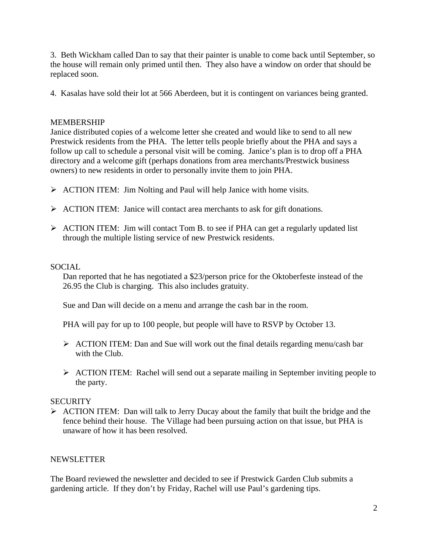3. Beth Wickham called Dan to say that their painter is unable to come back until September, so the house will remain only primed until then. They also have a window on order that should be replaced soon.

4. Kasalas have sold their lot at 566 Aberdeen, but it is contingent on variances being granted.

# MEMBERSHIP

Janice distributed copies of a welcome letter she created and would like to send to all new Prestwick residents from the PHA. The letter tells people briefly about the PHA and says a follow up call to schedule a personal visit will be coming. Janice's plan is to drop off a PHA directory and a welcome gift (perhaps donations from area merchants/Prestwick business owners) to new residents in order to personally invite them to join PHA.

- $\triangleright$  ACTION ITEM: Jim Nolting and Paul will help Janice with home visits.
- $\triangleright$  ACTION ITEM: Janice will contact area merchants to ask for gift donations.
- ¾ ACTION ITEM: Jim will contact Tom B. to see if PHA can get a regularly updated list through the multiple listing service of new Prestwick residents.

# SOCIAL

Dan reported that he has negotiated a \$23/person price for the Oktoberfeste instead of the 26.95 the Club is charging. This also includes gratuity.

Sue and Dan will decide on a menu and arrange the cash bar in the room.

PHA will pay for up to 100 people, but people will have to RSVP by October 13.

- $\triangleright$  ACTION ITEM: Dan and Sue will work out the final details regarding menu/cash bar with the Club.
- $\triangleright$  ACTION ITEM: Rachel will send out a separate mailing in September inviting people to the party.

# **SECURITY**

 $\triangleright$  ACTION ITEM: Dan will talk to Jerry Ducay about the family that built the bridge and the fence behind their house. The Village had been pursuing action on that issue, but PHA is unaware of how it has been resolved.

# NEWSLETTER

The Board reviewed the newsletter and decided to see if Prestwick Garden Club submits a gardening article. If they don't by Friday, Rachel will use Paul's gardening tips.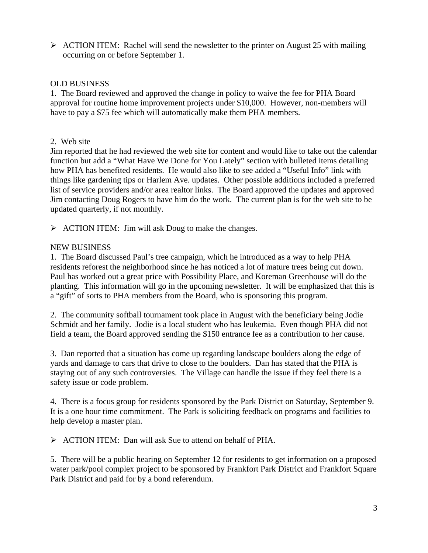$\triangleright$  ACTION ITEM: Rachel will send the newsletter to the printer on August 25 with mailing occurring on or before September 1.

## OLD BUSINESS

1. The Board reviewed and approved the change in policy to waive the fee for PHA Board approval for routine home improvement projects under \$10,000. However, non-members will have to pay a \$75 fee which will automatically make them PHA members.

## 2. Web site

Jim reported that he had reviewed the web site for content and would like to take out the calendar function but add a "What Have We Done for You Lately" section with bulleted items detailing how PHA has benefited residents. He would also like to see added a "Useful Info" link with things like gardening tips or Harlem Ave. updates. Other possible additions included a preferred list of service providers and/or area realtor links. The Board approved the updates and approved Jim contacting Doug Rogers to have him do the work. The current plan is for the web site to be updated quarterly, if not monthly.

 $\triangleright$  ACTION ITEM: Jim will ask Doug to make the changes.

## NEW BUSINESS

1. The Board discussed Paul's tree campaign, which he introduced as a way to help PHA residents reforest the neighborhood since he has noticed a lot of mature trees being cut down. Paul has worked out a great price with Possibility Place, and Koreman Greenhouse will do the planting. This information will go in the upcoming newsletter. It will be emphasized that this is a "gift" of sorts to PHA members from the Board, who is sponsoring this program.

2. The community softball tournament took place in August with the beneficiary being Jodie Schmidt and her family. Jodie is a local student who has leukemia. Even though PHA did not field a team, the Board approved sending the \$150 entrance fee as a contribution to her cause.

3. Dan reported that a situation has come up regarding landscape boulders along the edge of yards and damage to cars that drive to close to the boulders. Dan has stated that the PHA is staying out of any such controversies. The Village can handle the issue if they feel there is a safety issue or code problem.

4. There is a focus group for residents sponsored by the Park District on Saturday, September 9. It is a one hour time commitment. The Park is soliciting feedback on programs and facilities to help develop a master plan.

¾ ACTION ITEM: Dan will ask Sue to attend on behalf of PHA.

5. There will be a public hearing on September 12 for residents to get information on a proposed water park/pool complex project to be sponsored by Frankfort Park District and Frankfort Square Park District and paid for by a bond referendum.